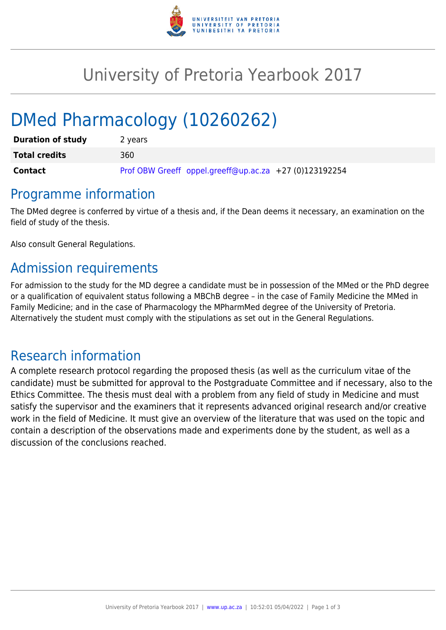

## University of Pretoria Yearbook 2017

# DMed Pharmacology (10260262)

| <b>Duration of study</b> | 2 years                                                |
|--------------------------|--------------------------------------------------------|
| <b>Total credits</b>     | 360                                                    |
| <b>Contact</b>           | Prof OBW Greeff oppel.greeff@up.ac.za +27 (0)123192254 |

#### Programme information

The DMed degree is conferred by virtue of a thesis and, if the Dean deems it necessary, an examination on the field of study of the thesis.

Also consult General Regulations.

### Admission requirements

For admission to the study for the MD degree a candidate must be in possession of the MMed or the PhD degree or a qualification of equivalent status following a MBChB degree – in the case of Family Medicine the MMed in Family Medicine; and in the case of Pharmacology the MPharmMed degree of the University of Pretoria. Alternatively the student must comply with the stipulations as set out in the General Regulations.

#### Research information

A complete research protocol regarding the proposed thesis (as well as the curriculum vitae of the candidate) must be submitted for approval to the Postgraduate Committee and if necessary, also to the Ethics Committee. The thesis must deal with a problem from any field of study in Medicine and must satisfy the supervisor and the examiners that it represents advanced original research and/or creative work in the field of Medicine. It must give an overview of the literature that was used on the topic and contain a description of the observations made and experiments done by the student, as well as a discussion of the conclusions reached.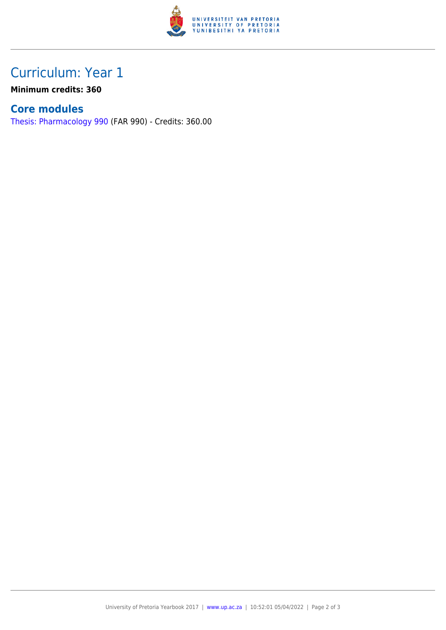

## Curriculum: Year 1

**Minimum credits: 360**

#### **Core modules**

[Thesis: Pharmacology 990](https://www.up.ac.za/yearbooks/2017/modules/view/FAR 990) (FAR 990) - Credits: 360.00